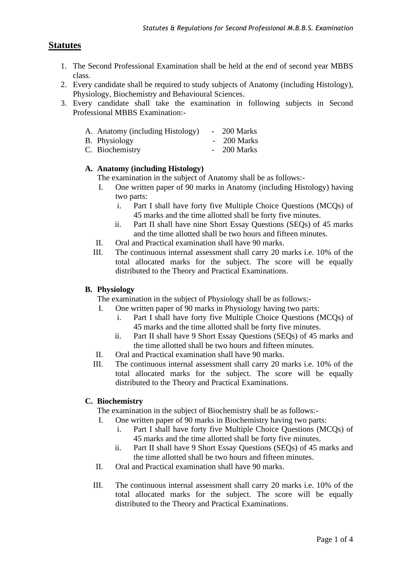# **Statutes**

- 1. The Second Professional Examination shall be held at the end of second year MBBS class.
- 2. Every candidate shall be required to study subjects of Anatomy (including Histology), Physiology, Biochemistry and Behavioural Sciences.
- 3. Every candidate shall take the examination in following subjects in Second Professional MBBS Examination:-

|  |  | A. Anatomy (including Histology) |  | 200 Marks |
|--|--|----------------------------------|--|-----------|
|--|--|----------------------------------|--|-----------|

- B. Physiology 200 Marks
- C. Biochemistry 200 Marks

### **A. Anatomy (including Histology)**

The examination in the subject of Anatomy shall be as follows:-

- I. One written paper of 90 marks in Anatomy (including Histology) having two parts:
	- i. Part I shall have forty five Multiple Choice Questions (MCQs) of 45 marks and the time allotted shall be forty five minutes.
	- ii. Part II shall have nine Short Essay Questions (SEQs) of 45 marks and the time allotted shall be two hours and fifteen minutes.
- II. Oral and Practical examination shall have 90 marks.
- III. The continuous internal assessment shall carry 20 marks i.e. 10% of the total allocated marks for the subject. The score will be equally distributed to the Theory and Practical Examinations.

### **B. Physiology**

The examination in the subject of Physiology shall be as follows:-

- I. One written paper of 90 marks in Physiology having two parts:
	- i. Part I shall have forty five Multiple Choice Questions (MCQs) of 45 marks and the time allotted shall be forty five minutes.
	- ii. Part II shall have 9 Short Essay Questions (SEQs) of 45 marks and the time allotted shall be two hours and fifteen minutes.
- II. Oral and Practical examination shall have 90 marks.
- III. The continuous internal assessment shall carry 20 marks i.e. 10% of the total allocated marks for the subject. The score will be equally distributed to the Theory and Practical Examinations.

### **C. Biochemistry**

The examination in the subject of Biochemistry shall be as follows:-

- I. One written paper of 90 marks in Biochemistry having two parts:
	- i. Part I shall have forty five Multiple Choice Questions (MCQs) of 45 marks and the time allotted shall be forty five minutes.
	- ii. Part II shall have 9 Short Essay Questions (SEQs) of 45 marks and the time allotted shall be two hours and fifteen minutes.
- II. Oral and Practical examination shall have 90 marks.
- III. The continuous internal assessment shall carry 20 marks i.e. 10% of the total allocated marks for the subject. The score will be equally distributed to the Theory and Practical Examinations.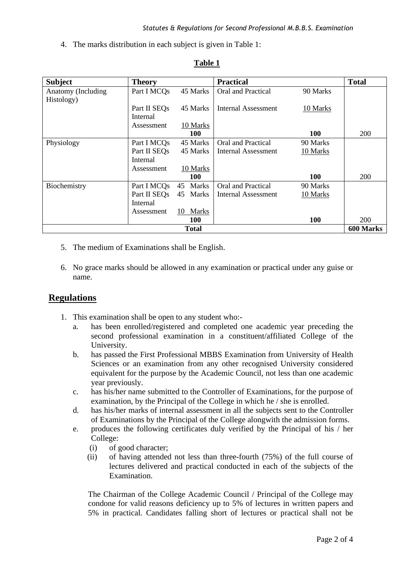4. The marks distribution in each subject is given in Table 1:

| <b>Subject</b>            | <b>Theory</b> |                    | <b>Practical</b>    |            | <b>Total</b> |  |  |
|---------------------------|---------------|--------------------|---------------------|------------|--------------|--|--|
| Anatomy (Including        | Part I MCQs   | 45 Marks           | Oral and Practical  | 90 Marks   |              |  |  |
| Histology)                |               |                    |                     |            |              |  |  |
|                           | Part II SEOs  | 45 Marks           | Internal Assessment | 10 Marks   |              |  |  |
|                           | Internal      |                    |                     |            |              |  |  |
|                           | Assessment    | 10 Marks           |                     |            |              |  |  |
|                           |               | <b>100</b>         |                     | <b>100</b> | <b>200</b>   |  |  |
| Physiology                | Part I MCQs   | 45 Marks           | Oral and Practical  | 90 Marks   |              |  |  |
|                           | Part II SEOs  | 45 Marks           | Internal Assessment | 10 Marks   |              |  |  |
|                           | Internal      |                    |                     |            |              |  |  |
|                           | Assessment    | 10 Marks           |                     |            |              |  |  |
|                           |               | <b>100</b>         |                     | <b>100</b> | <b>200</b>   |  |  |
| Biochemistry              | Part I MCQs   | Marks<br>45        | Oral and Practical  | 90 Marks   |              |  |  |
|                           | Part II SEQs  | 45<br>Marks        | Internal Assessment | 10 Marks   |              |  |  |
|                           | Internal      |                    |                     |            |              |  |  |
|                           | Assessment    | <b>Marks</b><br>10 |                     |            |              |  |  |
|                           |               | <b>100</b>         |                     | <b>100</b> | <b>200</b>   |  |  |
| <b>Total</b><br>600 Marks |               |                    |                     |            |              |  |  |

## **Table 1**

- 5. The medium of Examinations shall be English.
- 6. No grace marks should be allowed in any examination or practical under any guise or name.

## **Regulations**

- 1. This examination shall be open to any student who:
	- a. has been enrolled/registered and completed one academic year preceding the second professional examination in a constituent/affiliated College of the University.
	- b. has passed the First Professional MBBS Examination from University of Health Sciences or an examination from any other recognised University considered equivalent for the purpose by the Academic Council, not less than one academic year previously.
	- c. has his/her name submitted to the Controller of Examinations, for the purpose of examination, by the Principal of the College in which he / she is enrolled.
	- d. has his/her marks of internal assessment in all the subjects sent to the Controller of Examinations by the Principal of the College alongwith the admission forms.
	- e. produces the following certificates duly verified by the Principal of his / her College:
		- (i) of good character;
		- (ii) of having attended not less than three-fourth (75%) of the full course of lectures delivered and practical conducted in each of the subjects of the Examination.

The Chairman of the College Academic Council / Principal of the College may condone for valid reasons deficiency up to 5% of lectures in written papers and 5% in practical. Candidates falling short of lectures or practical shall not be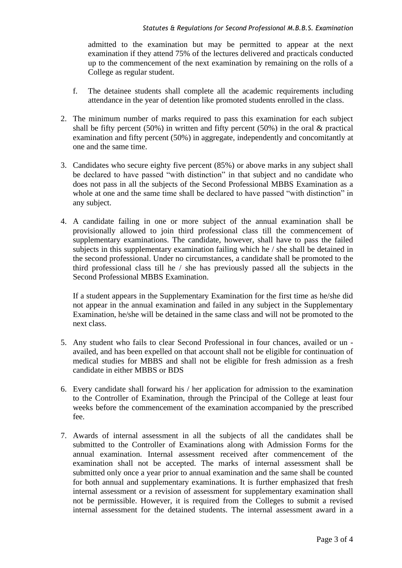#### *Statutes & Regulations for Second Professional M.B.B.S. Examination*

admitted to the examination but may be permitted to appear at the next examination if they attend 75% of the lectures delivered and practicals conducted up to the commencement of the next examination by remaining on the rolls of a College as regular student.

- f. The detainee students shall complete all the academic requirements including attendance in the year of detention like promoted students enrolled in the class.
- 2. The minimum number of marks required to pass this examination for each subject shall be fifty percent (50%) in written and fifty percent (50%) in the oral  $\&$  practical examination and fifty percent (50%) in aggregate, independently and concomitantly at one and the same time.
- 3. Candidates who secure eighty five percent (85%) or above marks in any subject shall be declared to have passed "with distinction" in that subject and no candidate who does not pass in all the subjects of the Second Professional MBBS Examination as a whole at one and the same time shall be declared to have passed "with distinction" in any subject.
- 4. A candidate failing in one or more subject of the annual examination shall be provisionally allowed to join third professional class till the commencement of supplementary examinations. The candidate, however, shall have to pass the failed subjects in this supplementary examination failing which he / she shall be detained in the second professional. Under no circumstances, a candidate shall be promoted to the third professional class till he / she has previously passed all the subjects in the Second Professional MBBS Examination.

If a student appears in the Supplementary Examination for the first time as he/she did not appear in the annual examination and failed in any subject in the Supplementary Examination, he/she will be detained in the same class and will not be promoted to the next class.

- 5. Any student who fails to clear Second Professional in four chances, availed or un availed, and has been expelled on that account shall not be eligible for continuation of medical studies for MBBS and shall not be eligible for fresh admission as a fresh candidate in either MBBS or BDS
- 6. Every candidate shall forward his / her application for admission to the examination to the Controller of Examination, through the Principal of the College at least four weeks before the commencement of the examination accompanied by the prescribed fee.
- 7. Awards of internal assessment in all the subjects of all the candidates shall be submitted to the Controller of Examinations along with Admission Forms for the annual examination. Internal assessment received after commencement of the examination shall not be accepted. The marks of internal assessment shall be submitted only once a year prior to annual examination and the same shall be counted for both annual and supplementary examinations. It is further emphasized that fresh internal assessment or a revision of assessment for supplementary examination shall not be permissible. However, it is required from the Colleges to submit a revised internal assessment for the detained students. The internal assessment award in a